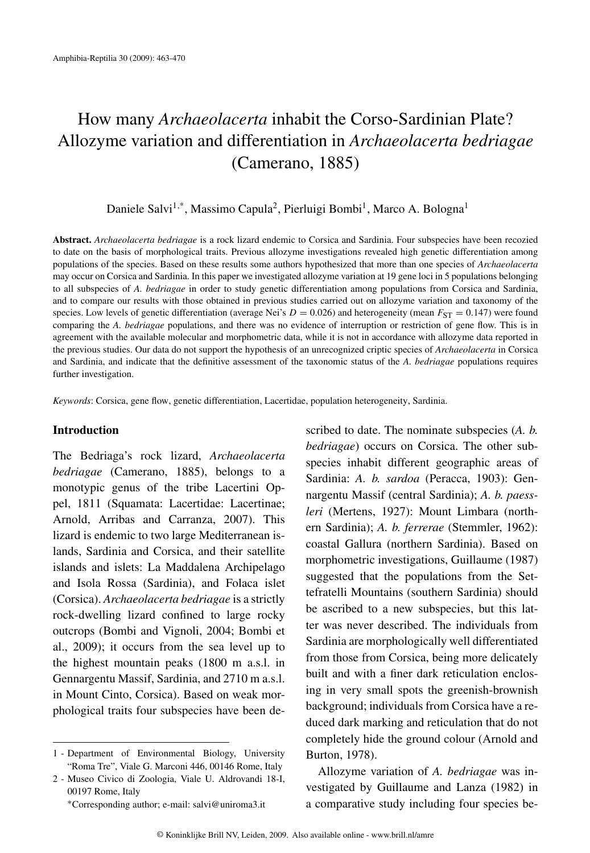# How many *Archaeolacerta* inhabit the Corso-Sardinian Plate? Allozyme variation and differentiation in *Archaeolacerta bedriagae* (Camerano, 1885)

Daniele Salvi<sup>1,\*</sup>, Massimo Capula<sup>2</sup>, Pierluigi Bombi<sup>1</sup>, Marco A. Bologna<sup>1</sup>

**Abstract.** *Archaeolacerta bedriagae* is a rock lizard endemic to Corsica and Sardinia. Four subspecies have been recozied to date on the basis of morphological traits. Previous allozyme investigations revealed high genetic differentiation among populations of the species. Based on these results some authors hypothesized that more than one species of *Archaeolacerta* may occur on Corsica and Sardinia. In this paper we investigated allozyme variation at 19 gene loci in 5 populations belonging to all subspecies of *A. bedriagae* in order to study genetic differentiation among populations from Corsica and Sardinia, and to compare our results with those obtained in previous studies carried out on allozyme variation and taxonomy of the species. Low levels of genetic differentiation (average Nei's  $D = 0.026$ ) and heterogeneity (mean  $F_{ST} = 0.147$ ) were found comparing the *A. bedriagae* populations, and there was no evidence of interruption or restriction of gene flow. This is in agreement with the available molecular and morphometric data, while it is not in accordance with allozyme data reported in the previous studies. Our data do not support the hypothesis of an unrecognized criptic species of *Archaeolacerta* in Corsica and Sardinia, and indicate that the definitive assessment of the taxonomic status of the *A. bedriagae* populations requires further investigation.

*Keywords*: Corsica, gene flow, genetic differentiation, Lacertidae, population heterogeneity, Sardinia.

# **Introduction**

The Bedriaga's rock lizard, *Archaeolacerta bedriagae* (Camerano, 1885), belongs to a monotypic genus of the tribe Lacertini Oppel, 1811 (Squamata: Lacertidae: Lacertinae; Arnold, Arribas and Carranza, 2007). This lizard is endemic to two large Mediterranean islands, Sardinia and Corsica, and their satellite islands and islets: La Maddalena Archipelago and Isola Rossa (Sardinia), and Folaca islet (Corsica). *Archaeolacerta bedriagae* is a strictly rock-dwelling lizard confined to large rocky outcrops (Bombi and Vignoli, 2004; Bombi et al., 2009); it occurs from the sea level up to the highest mountain peaks (1800 m a.s.l. in Gennargentu Massif, Sardinia, and 2710 m a.s.l. in Mount Cinto, Corsica). Based on weak morphological traits four subspecies have been described to date. The nominate subspecies (*A. b. bedriagae*) occurs on Corsica. The other subspecies inhabit different geographic areas of Sardinia: *A. b. sardoa* (Peracca, 1903): Gennargentu Massif (central Sardinia); *A. b. paessleri* (Mertens, 1927): Mount Limbara (northern Sardinia); *A. b. ferrerae* (Stemmler, 1962): coastal Gallura (northern Sardinia). Based on morphometric investigations, Guillaume (1987) suggested that the populations from the Settefratelli Mountains (southern Sardinia) should be ascribed to a new subspecies, but this latter was never described. The individuals from Sardinia are morphologically well differentiated from those from Corsica, being more delicately built and with a finer dark reticulation enclosing in very small spots the greenish-brownish background; individuals from Corsica have a reduced dark marking and reticulation that do not completely hide the ground colour (Arnold and Burton, 1978).

Allozyme variation of *A. bedriagae* was investigated by Guillaume and Lanza (1982) in a comparative study including four species be-

<sup>1 -</sup> Department of Environmental Biology, University "Roma Tre", Viale G. Marconi 446, 00146 Rome, Italy

<sup>2 -</sup> Museo Civico di Zoologia, Viale U. Aldrovandi 18-I, 00197 Rome, Italy

<sup>∗</sup>Corresponding author; e-mail: salvi@uniroma3.it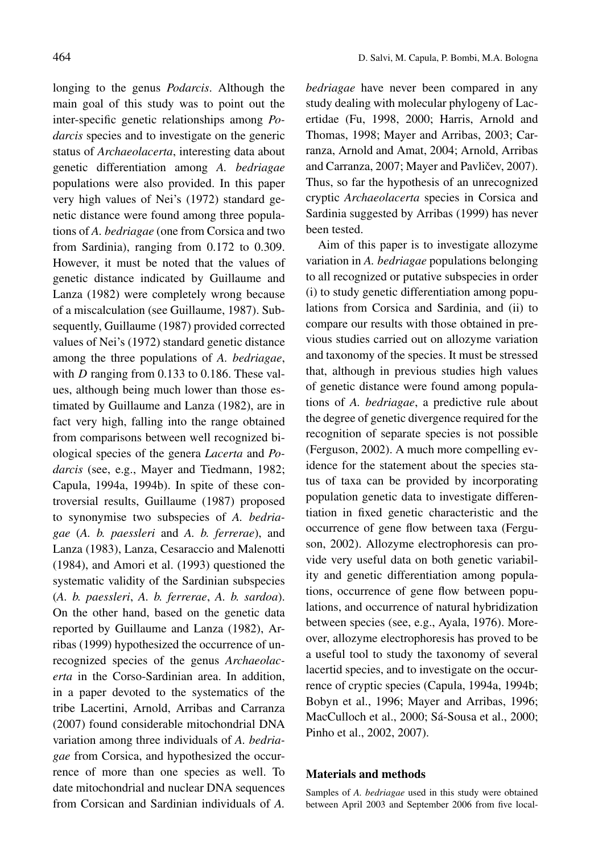longing to the genus *Podarcis*. Although the main goal of this study was to point out the inter-specific genetic relationships among *Podarcis* species and to investigate on the generic status of *Archaeolacerta*, interesting data about genetic differentiation among *A. bedriagae* populations were also provided. In this paper very high values of Nei's (1972) standard genetic distance were found among three populations of *A. bedriagae* (one from Corsica and two from Sardinia), ranging from 0.172 to 0.309. However, it must be noted that the values of genetic distance indicated by Guillaume and Lanza (1982) were completely wrong because of a miscalculation (see Guillaume, 1987). Subsequently, Guillaume (1987) provided corrected values of Nei's (1972) standard genetic distance among the three populations of *A. bedriagae*, with *D* ranging from 0.133 to 0.186. These values, although being much lower than those estimated by Guillaume and Lanza (1982), are in fact very high, falling into the range obtained from comparisons between well recognized biological species of the genera *Lacerta* and *Podarcis* (see, e.g., Mayer and Tiedmann, 1982; Capula, 1994a, 1994b). In spite of these controversial results, Guillaume (1987) proposed to synonymise two subspecies of *A. bedriagae* (*A. b. paessleri* and *A. b. ferrerae*), and Lanza (1983), Lanza, Cesaraccio and Malenotti (1984), and Amori et al. (1993) questioned the systematic validity of the Sardinian subspecies (*A. b. paessleri*, *A. b. ferrerae*, *A. b. sardoa*). On the other hand, based on the genetic data reported by Guillaume and Lanza (1982), Arribas (1999) hypothesized the occurrence of unrecognized species of the genus *Archaeolacerta* in the Corso-Sardinian area. In addition, in a paper devoted to the systematics of the tribe Lacertini, Arnold, Arribas and Carranza (2007) found considerable mitochondrial DNA variation among three individuals of *A. bedriagae* from Corsica, and hypothesized the occurrence of more than one species as well. To date mitochondrial and nuclear DNA sequences from Corsican and Sardinian individuals of *A.*

*bedriagae* have never been compared in any study dealing with molecular phylogeny of Lacertidae (Fu, 1998, 2000; Harris, Arnold and Thomas, 1998; Mayer and Arribas, 2003; Carranza, Arnold and Amat, 2004; Arnold, Arribas and Carranza, 2007; Mayer and Pavličev, 2007). Thus, so far the hypothesis of an unrecognized cryptic *Archaeolacerta* species in Corsica and Sardinia suggested by Arribas (1999) has never been tested.

Aim of this paper is to investigate allozyme variation in *A. bedriagae* populations belonging to all recognized or putative subspecies in order (i) to study genetic differentiation among populations from Corsica and Sardinia, and (ii) to compare our results with those obtained in previous studies carried out on allozyme variation and taxonomy of the species. It must be stressed that, although in previous studies high values of genetic distance were found among populations of *A. bedriagae*, a predictive rule about the degree of genetic divergence required for the recognition of separate species is not possible (Ferguson, 2002). A much more compelling evidence for the statement about the species status of taxa can be provided by incorporating population genetic data to investigate differentiation in fixed genetic characteristic and the occurrence of gene flow between taxa (Ferguson, 2002). Allozyme electrophoresis can provide very useful data on both genetic variability and genetic differentiation among populations, occurrence of gene flow between populations, and occurrence of natural hybridization between species (see, e.g., Ayala, 1976). Moreover, allozyme electrophoresis has proved to be a useful tool to study the taxonomy of several lacertid species, and to investigate on the occurrence of cryptic species (Capula, 1994a, 1994b; Bobyn et al., 1996; Mayer and Arribas, 1996; MacCulloch et al., 2000; Sá-Sousa et al., 2000; Pinho et al., 2002, 2007).

# **Materials and methods**

Samples of *A. bedriagae* used in this study were obtained between April 2003 and September 2006 from five local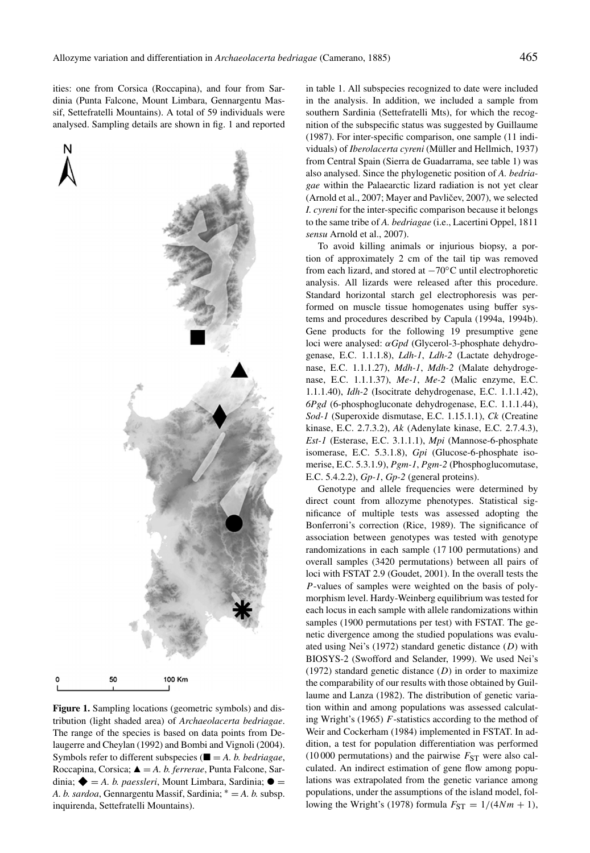ities: one from Corsica (Roccapina), and four from Sardinia (Punta Falcone, Mount Limbara, Gennargentu Massif, Settefratelli Mountains). A total of 59 individuals were analysed. Sampling details are shown in fig. 1 and reported





**Figure 1.** Sampling locations (geometric symbols) and distribution (light shaded area) of *Archaeolacerta bedriagae*. The range of the species is based on data points from Delaugerre and Cheylan (1992) and Bombi and Vignoli (2004). Symbols refer to different subspecies ( $\blacksquare = A$ . *b. bedriagae*, Roccapina, Corsica;  $\triangle = A$ , *b. ferrerae*, Punta Falcone, Sardinia;  $\blacklozenge$  = *A. b. paessleri*, Mount Limbara, Sardinia;  $\blacklozenge$  = *A. b. sardoa*, Gennargentu Massif, Sardinia; <sup>∗</sup> = *A. b.* subsp. inquirenda, Settefratelli Mountains).

in table 1. All subspecies recognized to date were included in the analysis. In addition, we included a sample from southern Sardinia (Settefratelli Mts), for which the recognition of the subspecific status was suggested by Guillaume (1987). For inter-specific comparison, one sample (11 individuals) of *Iberolacerta cyreni* (Müller and Hellmich, 1937) from Central Spain (Sierra de Guadarrama, see table 1) was also analysed. Since the phylogenetic position of *A. bedriagae* within the Palaearctic lizard radiation is not yet clear  $(Arnold et al., 2007; Mayer and Pavličev, 2007), we selected$ *I. cyreni* for the inter-specific comparison because it belongs to the same tribe of *A. bedriagae* (i.e., Lacertini Oppel, 1811 *sensu* Arnold et al., 2007).

To avoid killing animals or injurious biopsy, a portion of approximately 2 cm of the tail tip was removed from each lizard, and stored at −70◦C until electrophoretic analysis. All lizards were released after this procedure. Standard horizontal starch gel electrophoresis was performed on muscle tissue homogenates using buffer systems and procedures described by Capula (1994a, 1994b). Gene products for the following 19 presumptive gene loci were analysed: *αGpd* (Glycerol-3-phosphate dehydrogenase, E.C. 1.1.1.8), *Ldh-1*, *Ldh-2* (Lactate dehydrogenase, E.C. 1.1.1.27), *Mdh-1*, *Mdh-2* (Malate dehydrogenase, E.C. 1.1.1.37), *Me-1*, *Me-2* (Malic enzyme, E.C. 1.1.1.40), *Idh-2* (Isocitrate dehydrogenase, E.C. 1.1.1.42), *6Pgd* (6-phosphogluconate dehydrogenase, E.C. 1.1.1.44), *Sod-1* (Superoxide dismutase, E.C. 1.15.1.1), *Ck* (Creatine kinase, E.C. 2.7.3.2), *Ak* (Adenylate kinase, E.C. 2.7.4.3), *Est-1* (Esterase, E.C. 3.1.1.1), *Mpi* (Mannose-6-phosphate isomerase, E.C. 5.3.1.8), *Gpi* (Glucose-6-phosphate isomerise, E.C. 5.3.1.9), *Pgm-1*, *Pgm-2* (Phosphoglucomutase, E.C. 5.4.2.2), *Gp-1*, *Gp-2* (general proteins).

Genotype and allele frequencies were determined by direct count from allozyme phenotypes. Statistical significance of multiple tests was assessed adopting the Bonferroni's correction (Rice, 1989). The significance of association between genotypes was tested with genotype randomizations in each sample (17 100 permutations) and overall samples (3420 permutations) between all pairs of loci with FSTAT 2.9 (Goudet, 2001). In the overall tests the *P*-values of samples were weighted on the basis of polymorphism level. Hardy-Weinberg equilibrium was tested for each locus in each sample with allele randomizations within samples (1900 permutations per test) with FSTAT. The genetic divergence among the studied populations was evaluated using Nei's (1972) standard genetic distance (*D*) with BIOSYS-2 (Swofford and Selander, 1999). We used Nei's (1972) standard genetic distance (*D*) in order to maximize the comparability of our results with those obtained by Guillaume and Lanza (1982). The distribution of genetic variation within and among populations was assessed calculating Wright's (1965) *F*-statistics according to the method of Weir and Cockerham (1984) implemented in FSTAT. In addition, a test for population differentiation was performed (10 000 permutations) and the pairwise  $F_{ST}$  were also calculated. An indirect estimation of gene flow among populations was extrapolated from the genetic variance among populations, under the assumptions of the island model, following the Wright's (1978) formula  $F_{ST} = 1/(4Nm + 1)$ ,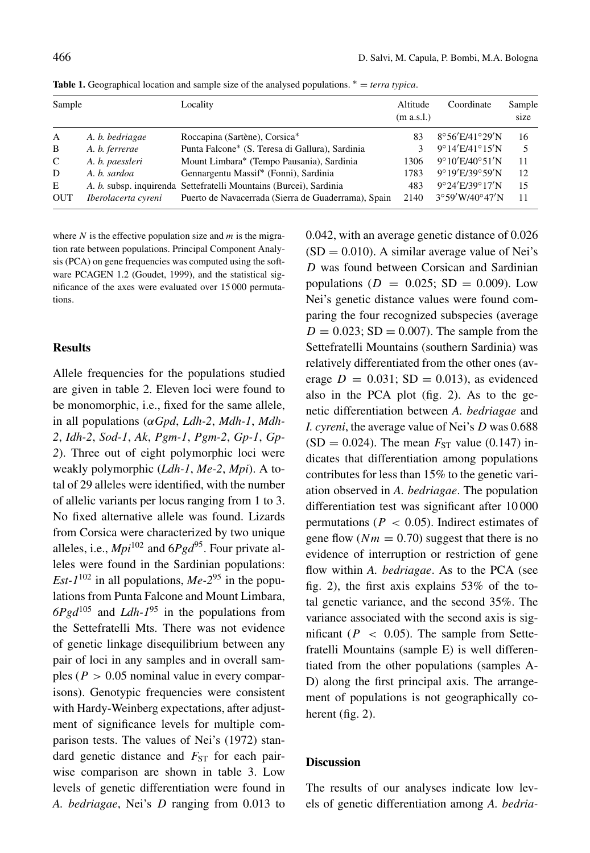| Sample     |                     | Locality                                                           | Altitude<br>(m a.s.l.) | Coordinate                          | Sample<br>size |
|------------|---------------------|--------------------------------------------------------------------|------------------------|-------------------------------------|----------------|
| A          | A. b. bedriagae     | Roccapina (Sartène), Corsica*                                      | 83                     | $8^{\circ}56'E/41^{\circ}29'N$      | 16             |
| B          | A. b. ferrerae      | Punta Falcone* (S. Teresa di Gallura), Sardinia                    |                        | $9^{\circ}14'E/41^{\circ}15'N$      | 5              |
| C          | A. b. paessleri     | Mount Limbara* (Tempo Pausania), Sardinia                          | 1306                   | $9^{\circ}10'E/40^{\circ}51'N$      | 11             |
| D          | A. b. sardoa        | Gennargentu Massif* (Fonni), Sardinia                              | 1783                   | $9^{\circ}19'E/39^{\circ}59'N$      | 12             |
| E          |                     | A. b. subsp. inquirenda Settefratelli Mountains (Burcei), Sardinia | 483                    | $9^{\circ}24'E/39^{\circ}17'N$      | 15             |
| <b>OUT</b> | Iberolacerta cyreni | Puerto de Navacerrada (Sierra de Guaderrama), Spain                | 2140                   | $3^{\circ}59'$ W/40 $^{\circ}47'$ N | 11             |

**Table 1.** Geographical location and sample size of the analysed populations. <sup>∗</sup> = *terra typica*.

where *N* is the effective population size and *m* is the migration rate between populations. Principal Component Analysis (PCA) on gene frequencies was computed using the software PCAGEN 1.2 (Goudet, 1999), and the statistical significance of the axes were evaluated over 15 000 permutations.

## **Results**

Allele frequencies for the populations studied are given in table 2. Eleven loci were found to be monomorphic, i.e., fixed for the same allele, in all populations (*αGpd*, *Ldh-2*, *Mdh-1*, *Mdh-2*, *Idh-2*, *Sod-1*, *Ak*, *Pgm-1*, *Pgm-2*, *Gp-1*, *Gp-2*). Three out of eight polymorphic loci were weakly polymorphic (*Ldh-1*, *Me-2*, *Mpi*). A total of 29 alleles were identified, with the number of allelic variants per locus ranging from 1 to 3. No fixed alternative allele was found. Lizards from Corsica were characterized by two unique alleles, i.e.,  $Mpi^{102}$  and  $6Pgd^{95}$ . Four private alleles were found in the Sardinian populations: *Est-1*<sup>102</sup> in all populations, *Me-2*<sup>95</sup> in the populations from Punta Falcone and Mount Limbara,  $6Pgd^{105}$  and *Ldh-1*<sup>95</sup> in the populations from the Settefratelli Mts. There was not evidence of genetic linkage disequilibrium between any pair of loci in any samples and in overall samples ( $P > 0.05$  nominal value in every comparisons). Genotypic frequencies were consistent with Hardy-Weinberg expectations, after adjustment of significance levels for multiple comparison tests. The values of Nei's (1972) standard genetic distance and  $F_{ST}$  for each pairwise comparison are shown in table 3. Low levels of genetic differentiation were found in *A. bedriagae*, Nei's *D* ranging from 0.013 to 0.042, with an average genetic distance of 0.026  $(SD = 0.010)$ . A similar average value of Nei's *D* was found between Corsican and Sardinian populations ( $D = 0.025$ ; SD = 0.009). Low Nei's genetic distance values were found comparing the four recognized subspecies (average  $D = 0.023$ ; SD = 0.007). The sample from the Settefratelli Mountains (southern Sardinia) was relatively differentiated from the other ones (average  $D = 0.031$ ; SD = 0.013), as evidenced also in the PCA plot (fig. 2). As to the genetic differentiation between *A. bedriagae* and *I. cyreni*, the average value of Nei's *D* was 0.688  $(SD = 0.024)$ . The mean  $F_{ST}$  value (0.147) indicates that differentiation among populations contributes for less than 15% to the genetic variation observed in *A. bedriagae*. The population differentiation test was significant after 10 000 permutations ( $P < 0.05$ ). Indirect estimates of gene flow  $(Nm = 0.70)$  suggest that there is no evidence of interruption or restriction of gene flow within *A. bedriagae*. As to the PCA (see fig. 2), the first axis explains 53% of the total genetic variance, and the second 35%. The variance associated with the second axis is significant ( $P \leq 0.05$ ). The sample from Settefratelli Mountains (sample E) is well differentiated from the other populations (samples A-D) along the first principal axis. The arrangement of populations is not geographically coherent (fig. 2).

### **Discussion**

The results of our analyses indicate low levels of genetic differentiation among *A. bedria-*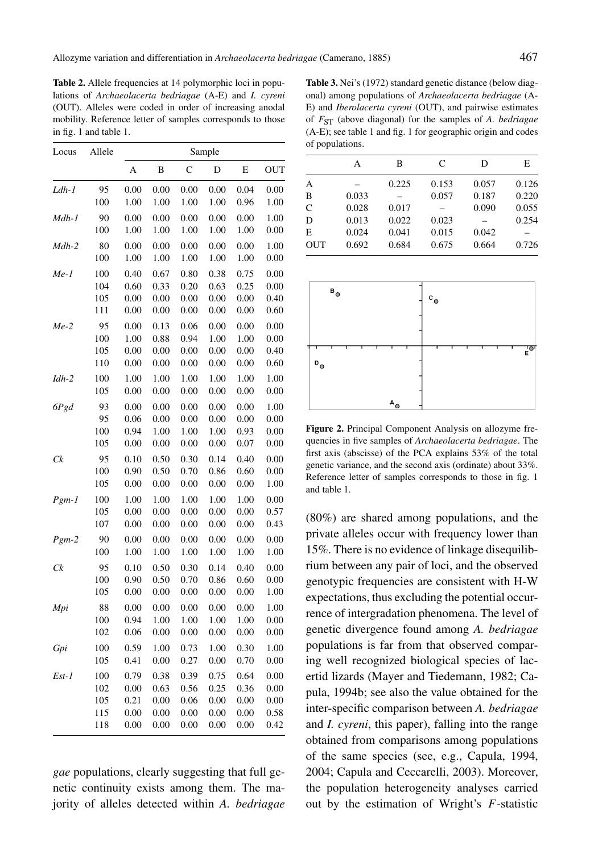Table 2. Allele frequencies at 14 polymorphic loci in populations of *Archaeolacerta bedriagae* (A-E) and *I. cyreni* (OUT). Alleles were coded in order of increasing anodal mobility. Reference letter of samples corresponds to those in fig. 1 and table 1.

| Locus    | Allele | Sample |      |           |      |      |            |
|----------|--------|--------|------|-----------|------|------|------------|
|          |        | А      | B    | C         | D    | E    | <b>OUT</b> |
| Ldh-1    | 95     | 0.00   | 0.00 | 0.00      | 0.00 | 0.04 | 0.00       |
|          | 100    | 1.00   | 1.00 | 1.00      | 1.00 | 0.96 | 1.00       |
| Mdh-1    | 90     | 0.00   | 0.00 | 0.00      | 0.00 | 0.00 | 1.00       |
|          | 100    | 1.00   | 1.00 | 1.00      | 1.00 | 1.00 | 0.00       |
| $Mdh-2$  | 80     | 0.00   | 0.00 | 0.00      | 0.00 | 0.00 | 1.00       |
|          | 100    | 1.00   | 1.00 | 1.00      | 1.00 | 1.00 | 0.00       |
| Me-1     | 100    | 0.40   | 0.67 | 0.80      | 0.38 | 0.75 | 0.00       |
|          | 104    | 0.60   | 0.33 | 0.20      | 0.63 | 0.25 | 0.00       |
|          | 105    | 0.00   | 0.00 | 0.00      | 0.00 | 0.00 | 0.40       |
|          | 111    | 0.00   | 0.00 | 0.00      | 0.00 | 0.00 | 0.60       |
| $Me-2$   | 95     | 0.00   | 0.13 | 0.06      | 0.00 | 0.00 | 0.00       |
|          | 100    | 1.00   | 0.88 | 0.94      | 1.00 | 1.00 | 0.00       |
|          | 105    | 0.00   | 0.00 | 0.00      | 0.00 | 0.00 | 0.40       |
|          | 110    | 0.00   | 0.00 | 0.00      | 0.00 | 0.00 | 0.60       |
| $Idh-2$  | 100    | 1.00   | 1.00 | 1.00      | 1.00 | 1.00 | 1.00       |
|          | 105    | 0.00   | 0.00 | 0.00      | 0.00 | 0.00 | 0.00       |
| 6Pgd     | 93     | 0.00   | 0.00 | 0.00      | 0.00 | 0.00 | 1.00       |
|          | 95     | 0.06   | 0.00 | 0.00      | 0.00 | 0.00 | 0.00       |
|          | 100    | 0.94   | 1.00 | 1.00      | 1.00 | 0.93 | 0.00       |
|          | 105    | 0.00   | 0.00 | 0.00      | 0.00 | 0.07 | 0.00       |
| Ck       | 95     | 0.10   | 0.50 | 0.30      | 0.14 | 0.40 | 0.00       |
|          | 100    | 0.90   | 0.50 | 0.70      | 0.86 | 0.60 | 0.00       |
|          | 105    | 0.00   | 0.00 | 0.00      | 0.00 | 0.00 | 1.00       |
| $Pgm-1$  | 100    | 1.00   | 1.00 | 1.00      | 1.00 | 1.00 | 0.00       |
|          | 105    | 0.00   | 0.00 | 0.00      | 0.00 | 0.00 | 0.57       |
|          | 107    | 0.00   | 0.00 | 0.00      | 0.00 | 0.00 | 0.43       |
| $Pgm-2$  | 90     | 0.00   | 0.00 | 0.00      | 0.00 | 0.00 | 0.00       |
|          | 100    | 1.00   | 1.00 | 1.00      | 1.00 | 1.00 | 1.00       |
| $C_{k}$  | 95     | 0.10   | 0.50 | 0.30      | 0.14 | 0.40 | 0.00       |
|          | 100    | 0.90   | 0.50 | 0.70      | 0.86 | 0.60 | 0.00       |
|          | 105    | 0.00   | 0.00 | 0.00      | 0.00 | 0.00 | 1.00       |
| Mpi      | 88     | 0.00   | 0.00 | 0.00      | 0.00 | 0.00 | 1.00       |
|          | 100    | 0.94   | 1.00 | 1.00      | 1.00 | 1.00 | 0.00       |
|          | 102    | 0.06   | 0.00 | 0.00      | 0.00 | 0.00 | 0.00       |
| Gpi      | 100    | 0.59   | 1.00 | 0.73      | 1.00 | 0.30 | 1.00       |
|          | 105    | 0.41   | 0.00 | 0.27      | 0.00 | 0.70 | 0.00       |
| $E$ st-1 | 100    | 0.79   | 0.38 | 0.39      | 0.75 | 0.64 | 0.00       |
|          | 102    | 0.00   | 0.63 | 0.56      | 0.25 | 0.36 | 0.00       |
|          | 105    | 0.21   | 0.00 | 0.06      | 0.00 | 0.00 | 0.00       |
|          | 115    | 0.00   | 0.00 | $_{0.00}$ | 0.00 | 0.00 | 0.58       |
|          | 118    | 0.00   | 0.00 | 0.00      | 0.00 | 0.00 | 0.42       |

*gae* populations, clearly suggesting that full genetic continuity exists among them. The majority of alleles detected within *A. bedriagae*

**Table 3.** Nei's (1972) standard genetic distance (below diagonal) among populations of *Archaeolacerta bedriagae* (A-E) and *Iberolacerta cyreni* (OUT), and pairwise estimates of *F*ST (above diagonal) for the samples of *A. bedriagae* (A-E); see table 1 and fig. 1 for geographic origin and codes of populations.

|              | А     | В     | C     | D     | E     |
|--------------|-------|-------|-------|-------|-------|
| A            |       | 0.225 | 0.153 | 0.057 | 0.126 |
| B            | 0.033 |       | 0.057 | 0.187 | 0.220 |
| $\mathsf{C}$ | 0.028 | 0.017 |       | 0.090 | 0.055 |
| D            | 0.013 | 0.022 | 0.023 |       | 0.254 |
| E            | 0.024 | 0.041 | 0.015 | 0.042 |       |
| <b>OUT</b>   | 0.692 | 0.684 | 0.675 | 0.664 | 0.726 |
|              |       |       |       |       |       |



**Figure 2.** Principal Component Analysis on allozyme frequencies in five samples of *Archaeolacerta bedriagae*. The first axis (abscisse) of the PCA explains 53% of the total genetic variance, and the second axis (ordinate) about 33%. Reference letter of samples corresponds to those in fig. 1 and table 1.

(80%) are shared among populations, and the private alleles occur with frequency lower than 15%. There is no evidence of linkage disequilibrium between any pair of loci, and the observed genotypic frequencies are consistent with H-W expectations, thus excluding the potential occurrence of intergradation phenomena. The level of genetic divergence found among *A. bedriagae* populations is far from that observed comparing well recognized biological species of lacertid lizards (Mayer and Tiedemann, 1982; Capula, 1994b; see also the value obtained for the inter-specific comparison between *A. bedriagae* and *I. cyreni*, this paper), falling into the range obtained from comparisons among populations of the same species (see, e.g., Capula, 1994, 2004; Capula and Ceccarelli, 2003). Moreover, the population heterogeneity analyses carried out by the estimation of Wright's *F*-statistic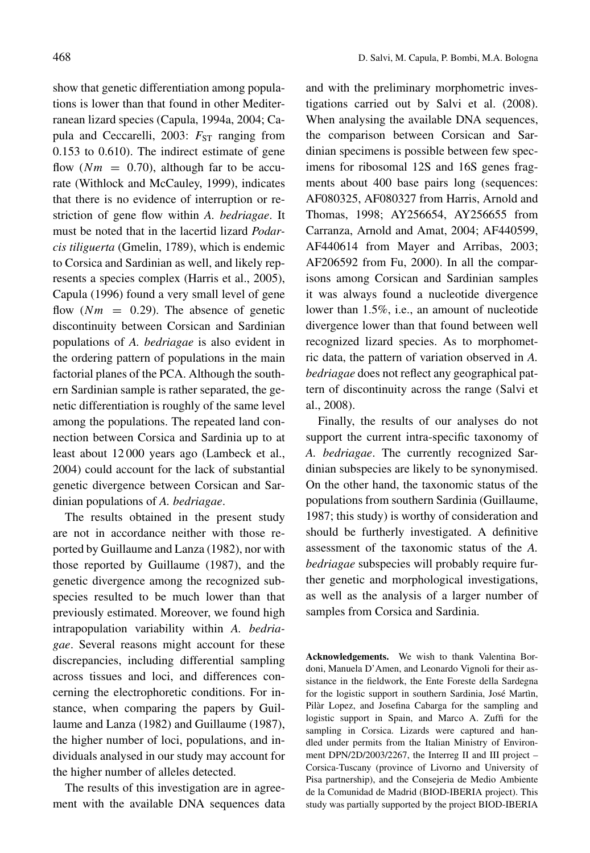show that genetic differentiation among populations is lower than that found in other Mediterranean lizard species (Capula, 1994a, 2004; Capula and Ceccarelli, 2003:  $F_{ST}$  ranging from 0.153 to 0.610). The indirect estimate of gene flow  $(Nm = 0.70)$ , although far to be accurate (Withlock and McCauley, 1999), indicates that there is no evidence of interruption or restriction of gene flow within *A. bedriagae*. It must be noted that in the lacertid lizard *Podarcis tiliguerta* (Gmelin, 1789), which is endemic to Corsica and Sardinian as well, and likely represents a species complex (Harris et al., 2005), Capula (1996) found a very small level of gene flow  $(Nm = 0.29)$ . The absence of genetic discontinuity between Corsican and Sardinian populations of *A. bedriagae* is also evident in the ordering pattern of populations in the main factorial planes of the PCA. Although the southern Sardinian sample is rather separated, the genetic differentiation is roughly of the same level among the populations. The repeated land connection between Corsica and Sardinia up to at least about 12 000 years ago (Lambeck et al., 2004) could account for the lack of substantial genetic divergence between Corsican and Sardinian populations of *A. bedriagae*.

The results obtained in the present study are not in accordance neither with those reported by Guillaume and Lanza (1982), nor with those reported by Guillaume (1987), and the genetic divergence among the recognized subspecies resulted to be much lower than that previously estimated. Moreover, we found high intrapopulation variability within *A. bedriagae*. Several reasons might account for these discrepancies, including differential sampling across tissues and loci, and differences concerning the electrophoretic conditions. For instance, when comparing the papers by Guillaume and Lanza (1982) and Guillaume (1987), the higher number of loci, populations, and individuals analysed in our study may account for the higher number of alleles detected.

The results of this investigation are in agreement with the available DNA sequences data and with the preliminary morphometric investigations carried out by Salvi et al. (2008). When analysing the available DNA sequences, the comparison between Corsican and Sardinian specimens is possible between few specimens for ribosomal 12S and 16S genes fragments about 400 base pairs long (sequences: AF080325, AF080327 from Harris, Arnold and Thomas, 1998; AY256654, AY256655 from Carranza, Arnold and Amat, 2004; AF440599, AF440614 from Mayer and Arribas, 2003; AF206592 from Fu, 2000). In all the comparisons among Corsican and Sardinian samples it was always found a nucleotide divergence lower than 1.5%, i.e., an amount of nucleotide divergence lower than that found between well recognized lizard species. As to morphometric data, the pattern of variation observed in *A. bedriagae* does not reflect any geographical pattern of discontinuity across the range (Salvi et al., 2008).

Finally, the results of our analyses do not support the current intra-specific taxonomy of *A. bedriagae*. The currently recognized Sardinian subspecies are likely to be synonymised. On the other hand, the taxonomic status of the populations from southern Sardinia (Guillaume, 1987; this study) is worthy of consideration and should be furtherly investigated. A definitive assessment of the taxonomic status of the *A. bedriagae* subspecies will probably require further genetic and morphological investigations, as well as the analysis of a larger number of samples from Corsica and Sardinia.

**Acknowledgements.** We wish to thank Valentina Bordoni, Manuela D'Amen, and Leonardo Vignoli for their assistance in the fieldwork, the Ente Foreste della Sardegna for the logistic support in southern Sardinia, José Martìn, Pilàr Lopez, and Josefina Cabarga for the sampling and logistic support in Spain, and Marco A. Zuffi for the sampling in Corsica. Lizards were captured and handled under permits from the Italian Ministry of Environment DPN/2D/2003/2267, the Interreg II and III project – Corsica-Tuscany (province of Livorno and University of Pisa partnership), and the Consejeria de Medio Ambiente de la Comunidad de Madrid (BIOD-IBERIA project). This study was partially supported by the project BIOD-IBERIA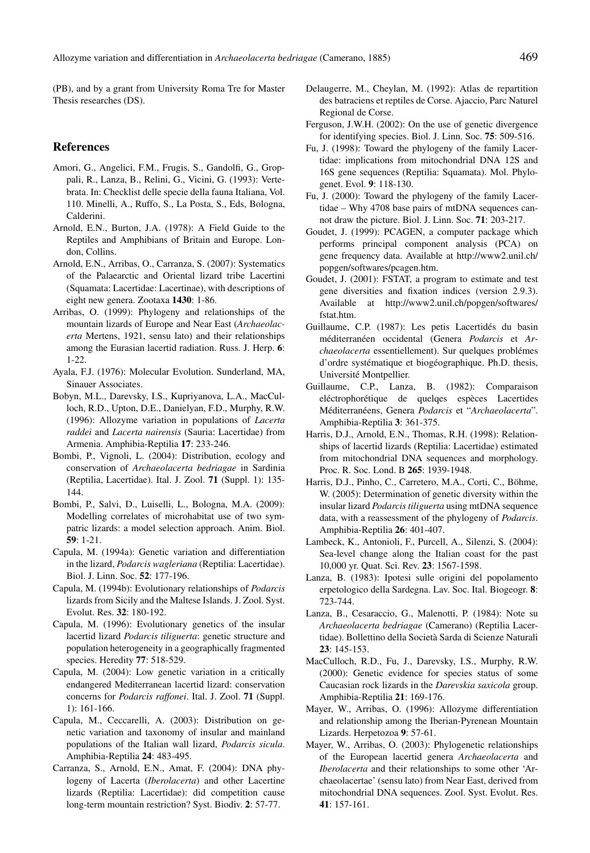(PB), and by a grant from University Roma Tre for Master Thesis researches (DS).

### **References**

- Amori, G., Angelici, F.M., Frugis, S., Gandolfi, G., Groppali, R., Lanza, B., Relini, G., Vicini, G. (1993): Vertebrata. In: Checklist delle specie della fauna Italiana, Vol. 110. Minelli, A., Ruffo, S., La Posta, S., Eds, Bologna, Calderini.
- Arnold, E.N., Burton, J.A. (1978): A Field Guide to the Reptiles and Amphibians of Britain and Europe. London, Collins.
- Arnold, E.N., Arribas, O., Carranza, S. (2007): Systematics of the Palaearctic and Oriental lizard tribe Lacertini (Squamata: Lacertidae: Lacertinae), with descriptions of eight new genera. Zootaxa **1430**: 1-86.
- Arribas, O. (1999): Phylogeny and relationships of the mountain lizards of Europe and Near East (*Archaeolacerta* Mertens, 1921, sensu lato) and their relationships among the Eurasian lacertid radiation. Russ. J. Herp. **6**: 1-22.
- Ayala, F.J. (1976): Molecular Evolution. Sunderland, MA, Sinauer Associates.
- Bobyn, M.L., Darevsky, I.S., Kupriyanova, L.A., MacCulloch, R.D., Upton, D.E., Danielyan, F.D., Murphy, R.W. (1996): Allozyme variation in populations of *Lacerta raddei* and *Lacerta nairensis* (Sauria: Lacertidae) from Armenia. Amphibia-Reptilia **17**: 233-246.
- Bombi, P., Vignoli, L. (2004): Distribution, ecology and conservation of *Archaeolacerta bedriagae* in Sardinia (Reptilia, Lacertidae). Ital. J. Zool. **71** (Suppl. 1): 135- 144.
- Bombi, P., Salvi, D., Luiselli, L., Bologna, M.A. (2009): Modelling correlates of microhabitat use of two sympatric lizards: a model selection approach. Anim. Biol. **59**: 1-21.
- Capula, M. (1994a): Genetic variation and differentiation in the lizard, *Podarcis wagleriana* (Reptilia: Lacertidae). Biol. J. Linn. Soc. **52**: 177-196.
- Capula, M. (1994b): Evolutionary relationships of *Podarcis* lizards from Sicily and the Maltese Islands. J. Zool. Syst. Evolut. Res. **32**: 180-192.
- Capula, M. (1996): Evolutionary genetics of the insular lacertid lizard *Podarcis tiliguerta*: genetic structure and population heterogeneity in a geographically fragmented species. Heredity **77**: 518-529.
- Capula, M. (2004): Low genetic variation in a critically endangered Mediterranean lacertid lizard: conservation concerns for *Podarcis raffonei*. Ital. J. Zool. **71** (Suppl. 1): 161-166.
- Capula, M., Ceccarelli, A. (2003): Distribution on genetic variation and taxonomy of insular and mainland populations of the Italian wall lizard, *Podarcis sicula*. Amphibia-Reptilia **24**: 483-495.
- Carranza, S., Arnold, E.N., Amat, F. (2004): DNA phylogeny of Lacerta (*Iberolacerta*) and other Lacertine lizards (Reptilia: Lacertidae): did competition cause long-term mountain restriction? Syst. Biodiv. **2**: 57-77.
- Delaugerre, M., Cheylan, M. (1992): Atlas de repartition des batraciens et reptiles de Corse. Ajaccio, Parc Naturel Regional de Corse.
- Ferguson, J.W.H. (2002): On the use of genetic divergence for identifying species. Biol. J. Linn. Soc. **75**: 509-516.
- Fu, J. (1998): Toward the phylogeny of the family Lacertidae: implications from mitochondrial DNA 12S and 16S gene sequences (Reptilia: Squamata). Mol. Phylogenet. Evol. **9**: 118-130.
- Fu, J. (2000): Toward the phylogeny of the family Lacertidae – Why 4708 base pairs of mtDNA sequences cannot draw the picture. Biol. J. Linn. Soc. **71**: 203-217.
- Goudet, J. (1999): PCAGEN, a computer package which performs principal component analysis (PCA) on gene frequency data. Available at http://www2.unil.ch/ popgen/softwares/pcagen.htm.
- Goudet, J. (2001): FSTAT, a program to estimate and test gene diversities and fixation indices (version 2.9.3). Available at http://www2.unil.ch/popgen/softwares/ fstat.htm.
- Guillaume, C.P. (1987): Les petis Lacertidés du basin méditerranéen occidental (Genera *Podarcis* et *Archaeolacerta* essentiellement). Sur quelques problémes d'ordre systématique et biogéographique. Ph.D. thesis, Université Montpellier.
- Guillaume, C.P., Lanza, B. (1982): Comparaison eléctrophorétique de quelqes espèces Lacertides Méditerranéens, Genera *Podarcis* et "*Archaeolacerta*". Amphibia-Reptilia **3**: 361-375.
- Harris, D.J., Arnold, E.N., Thomas, R.H. (1998): Relationships of lacertid lizards (Reptilia: Lacertidae) estimated from mitochondrial DNA sequences and morphology. Proc. R. Soc. Lond. B **265**: 1939-1948.
- Harris, D.J., Pinho, C., Carretero, M.A., Corti, C., Böhme, W. (2005): Determination of genetic diversity within the insular lizard *Podarcis tiliguerta* using mtDNA sequence data, with a reassessment of the phylogeny of *Podarcis*. Amphibia-Reptilia **26**: 401-407.
- Lambeck, K., Antonioli, F., Purcell, A., Silenzi, S. (2004): Sea-level change along the Italian coast for the past 10,000 yr. Quat. Sci. Rev. **23**: 1567-1598.
- Lanza, B. (1983): Ipotesi sulle origini del popolamento erpetologico della Sardegna. Lav. Soc. Ital. Biogeogr. **8**: 723-744.
- Lanza, B., Cesaraccio, G., Malenotti, P. (1984): Note su *Archaeolacerta bedriagae* (Camerano) (Reptilia Lacertidae). Bollettino della Società Sarda di Scienze Naturali **23**: 145-153.
- MacCulloch, R.D., Fu, J., Darevsky, I.S., Murphy, R.W. (2000): Genetic evidence for species status of some Caucasian rock lizards in the *Darevskia saxicola* group. Amphibia-Reptilia **21**: 169-176.
- Mayer, W., Arribas, O. (1996): Allozyme differentiation and relationship among the Iberian-Pyrenean Mountain Lizards. Herpetozoa **9**: 57-61.
- Mayer, W., Arribas, O. (2003): Phylogenetic relationships of the European lacertid genera *Archaeolacerta* and *Iberolacerta* and their relationships to some other 'Archaeolacertae' (sensu lato) from Near East, derived from mitochondrial DNA sequences. Zool. Syst. Evolut. Res. **41**: 157-161.